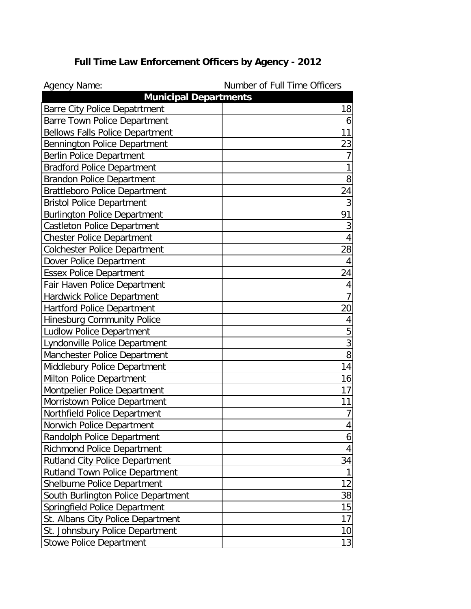| Agency Name:                           | Number of Full Time Officers |
|----------------------------------------|------------------------------|
| <b>Municipal Departments</b>           |                              |
| <b>Barre City Police Depatrtment</b>   | 18                           |
| <b>Barre Town Police Department</b>    | 6                            |
| <b>Bellows Falls Police Department</b> | 11                           |
| Bennington Police Department           | 23                           |
| Berlin Police Department               | 7                            |
| <b>Bradford Police Department</b>      |                              |
| <b>Brandon Police Department</b>       | 8                            |
| Brattleboro Police Department          | 24                           |
| <b>Bristol Police Department</b>       | 3                            |
| <b>Burlington Police Department</b>    | 91                           |
| <b>Castleton Police Department</b>     | 3                            |
| Chester Police Department              | $\overline{4}$               |
| <b>Colchester Police Department</b>    | 28                           |
| Dover Police Department                | $\overline{4}$               |
| <b>Essex Police Department</b>         | 24                           |
| Fair Haven Police Department           | $\overline{4}$               |
| Hardwick Police Department             |                              |
| <b>Hartford Police Department</b>      | 20                           |
| Hinesburg Community Police             | 4                            |
| <b>Ludlow Police Department</b>        | 5                            |
| Lyndonville Police Department          | $\overline{3}$               |
| Manchester Police Department           | $\overline{8}$               |
| Middlebury Police Department           | 14                           |
| Milton Police Department               | 16                           |
| Montpelier Police Department           | 17                           |
| Morristown Police Department           | 11                           |
| Northfield Police Department           | $\overline{7}$               |
| Norwich Police Department              | 4                            |
| Randolph Police Department             | 6                            |
| <b>Richmond Police Department</b>      | 4                            |
| <b>Rutland City Police Department</b>  | 34                           |
| <b>Rutland Town Police Department</b>  |                              |
| Shelburne Police Department            | 12                           |
| South Burlington Police Department     | 38                           |
| Springfield Police Department          | 15                           |
| St. Albans City Police Department      | 17                           |
| St. Johnsbury Police Department        | 10                           |
| <b>Stowe Police Department</b>         | 13                           |

## **Full Time Law Enforcement Officers by Agency - 2012**